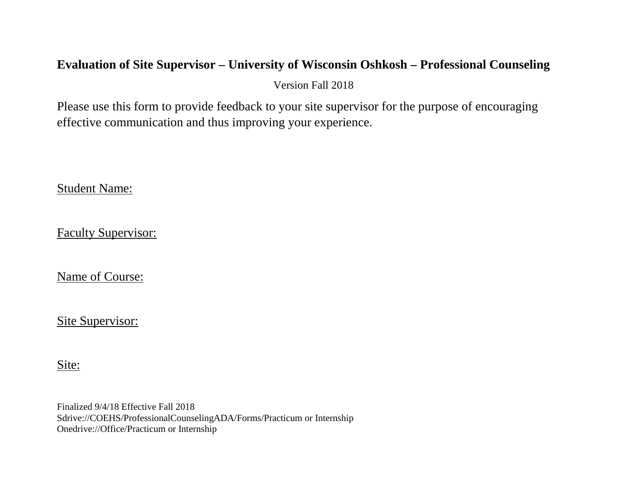## **Evaluation of Site Supervisor – University of Wisconsin Oshkosh – Professional Counseling**

Version Fall 2018

Please use this form to provide feedback to your site supervisor for the purpose of encouraging effective communication and thus improving your experience.

Student Name:

Faculty Supervisor:

Name of Course:

Site Supervisor:

Site: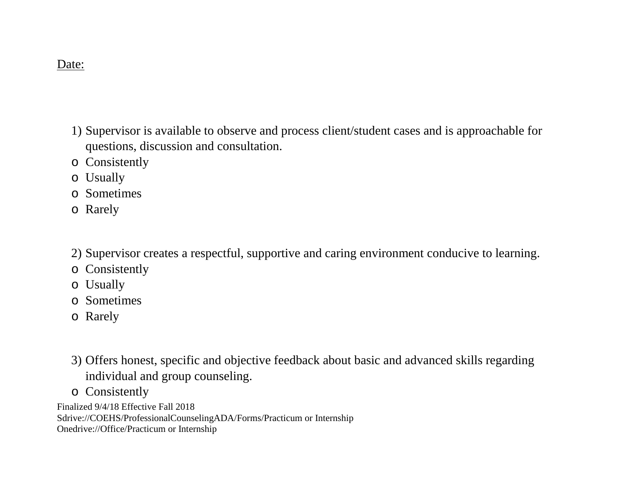## Date:

- 1) Supervisor is available to observe and process client/student cases and is approachable for questions, discussion and consultation.
- o Consistently
- o Usually
- o Sometimes
- o Rarely
- 2) Supervisor creates a respectful, supportive and caring environment conducive to learning.
- o Consistently
- o Usually
- o Sometimes
- o Rarely
- 3) Offers honest, specific and objective feedback about basic and advanced skills regarding individual and group counseling.
- o Consistently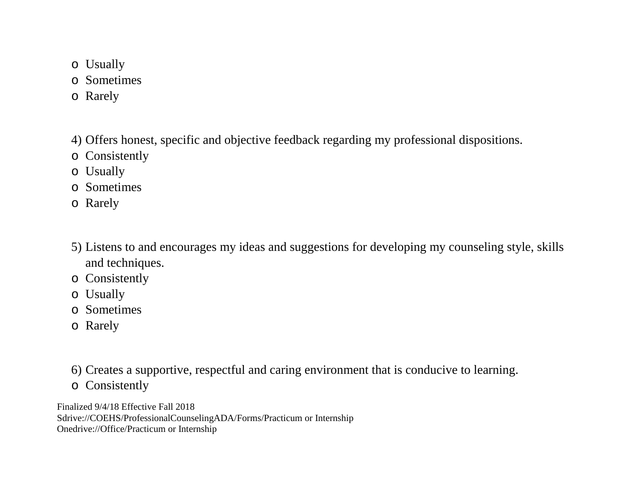- o Usually
- o Sometimes
- o Rarely
- 4) Offers honest, specific and objective feedback regarding my professional dispositions.
- o Consistently
- o Usually
- o Sometimes
- o Rarely
- 5) Listens to and encourages my ideas and suggestions for developing my counseling style, skills and techniques.
- o Consistently
- o Usually
- o Sometimes
- o Rarely
- 6) Creates a supportive, respectful and caring environment that is conducive to learning.
- o Consistently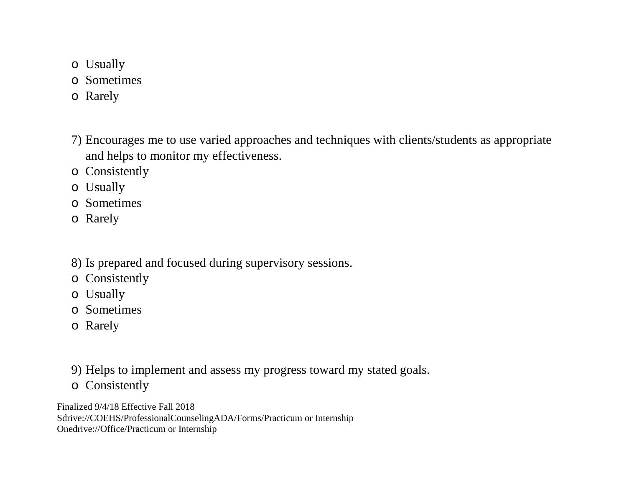- o Usually
- o Sometimes
- o Rarely
- 7) Encourages me to use varied approaches and techniques with clients/students as appropriate and helps to monitor my effectiveness.
- o Consistently
- o Usually
- o Sometimes
- o Rarely
- 8) Is prepared and focused during supervisory sessions.
- o Consistently
- o Usually
- o Sometimes
- o Rarely
- 9) Helps to implement and assess my progress toward my stated goals.
- o Consistently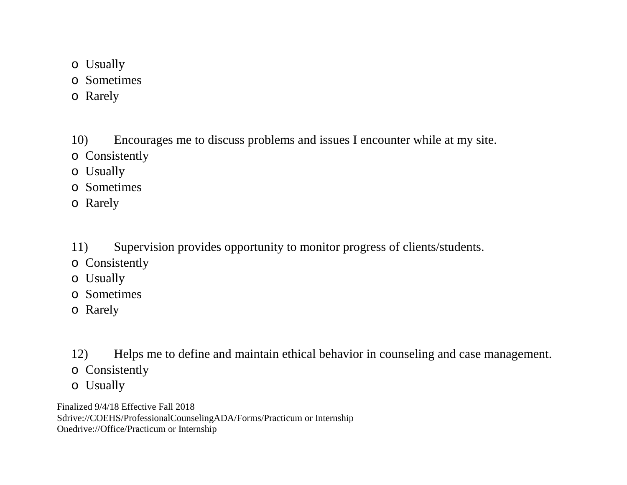- o Usually
- o Sometimes
- o Rarely
- 10) Encourages me to discuss problems and issues I encounter while at my site.
- o Consistently
- o Usually
- o Sometimes
- o Rarely
- 11) Supervision provides opportunity to monitor progress of clients/students.
- o Consistently
- o Usually
- o Sometimes
- o Rarely

12) Helps me to define and maintain ethical behavior in counseling and case management.

- o Consistently
- o Usually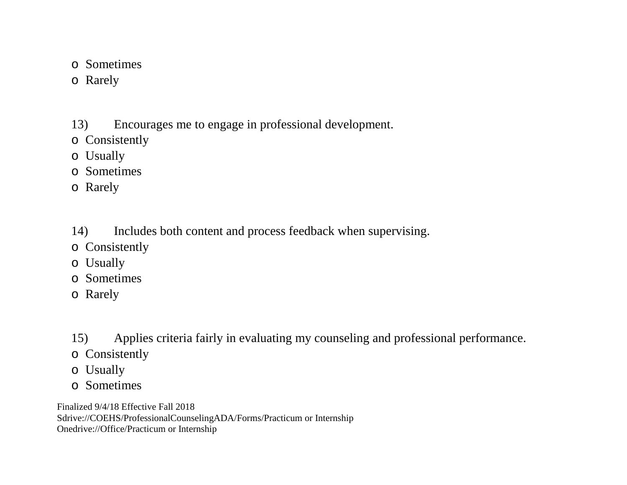- o Sometimes
- o Rarely

13) Encourages me to engage in professional development.

- o Consistently
- o Usually
- o Sometimes
- o Rarely
- 14) Includes both content and process feedback when supervising.
- o Consistently
- o Usually
- o Sometimes
- o Rarely
- 15) Applies criteria fairly in evaluating my counseling and professional performance.
- o Consistently
- o Usually
- o Sometimes